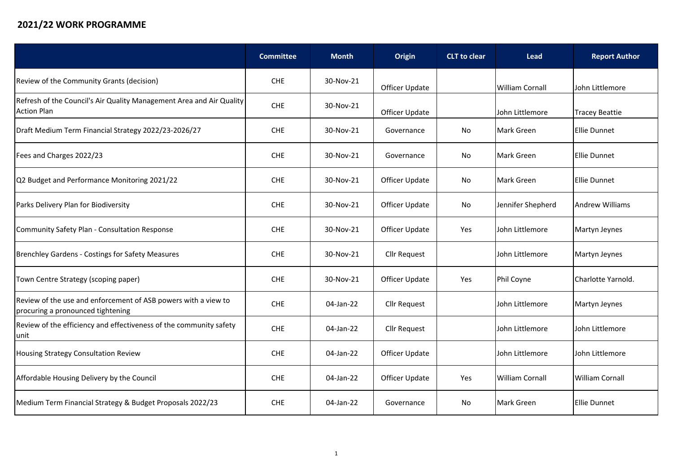## **2021/22 WORK PROGRAMME**

|                                                                                                     | <b>Committee</b> | <b>Month</b> | Origin              | <b>CLT</b> to clear | <b>Lead</b>            | <b>Report Author</b>   |
|-----------------------------------------------------------------------------------------------------|------------------|--------------|---------------------|---------------------|------------------------|------------------------|
| Review of the Community Grants (decision)                                                           | <b>CHE</b>       | 30-Nov-21    | Officer Update      |                     | <b>William Cornall</b> | John Littlemore        |
| Refresh of the Council's Air Quality Management Area and Air Quality<br><b>Action Plan</b>          | <b>CHE</b>       | 30-Nov-21    | Officer Update      |                     | John Littlemore        | <b>Tracey Beattie</b>  |
| Draft Medium Term Financial Strategy 2022/23-2026/27                                                | <b>CHE</b>       | 30-Nov-21    | Governance          | No                  | <b>Mark Green</b>      | Ellie Dunnet           |
| Fees and Charges 2022/23                                                                            | CHE              | 30-Nov-21    | Governance          | No                  | Mark Green             | <b>Ellie Dunnet</b>    |
| Q2 Budget and Performance Monitoring 2021/22                                                        | <b>CHE</b>       | 30-Nov-21    | Officer Update      | No                  | <b>Mark Green</b>      | Ellie Dunnet           |
| Parks Delivery Plan for Biodiversity                                                                | <b>CHE</b>       | 30-Nov-21    | Officer Update      | No                  | Jennifer Shepherd      | <b>Andrew Williams</b> |
| Community Safety Plan - Consultation Response                                                       | CHE              | 30-Nov-21    | Officer Update      | Yes                 | John Littlemore        | Martyn Jeynes          |
| <b>Brenchley Gardens - Costings for Safety Measures</b>                                             | <b>CHE</b>       | 30-Nov-21    | <b>Cllr Request</b> |                     | John Littlemore        | Martyn Jeynes          |
| Town Centre Strategy (scoping paper)                                                                | <b>CHE</b>       | 30-Nov-21    | Officer Update      | Yes                 | Phil Coyne             | Charlotte Yarnold.     |
| Review of the use and enforcement of ASB powers with a view to<br>procuring a pronounced tightening | CHE              | 04-Jan-22    | <b>Cllr Request</b> |                     | John Littlemore        | Martyn Jeynes          |
| Review of the efficiency and effectiveness of the community safety<br>unit                          | <b>CHE</b>       | 04-Jan-22    | <b>Cllr Request</b> |                     | John Littlemore        | John Littlemore        |
| Housing Strategy Consultation Review                                                                | <b>CHE</b>       | 04-Jan-22    | Officer Update      |                     | John Littlemore        | John Littlemore        |
| Affordable Housing Delivery by the Council                                                          | <b>CHE</b>       | 04-Jan-22    | Officer Update      | Yes                 | <b>William Cornall</b> | William Cornall        |
| Medium Term Financial Strategy & Budget Proposals 2022/23                                           | CHE              | 04-Jan-22    | Governance          | No                  | Mark Green             | <b>Ellie Dunnet</b>    |